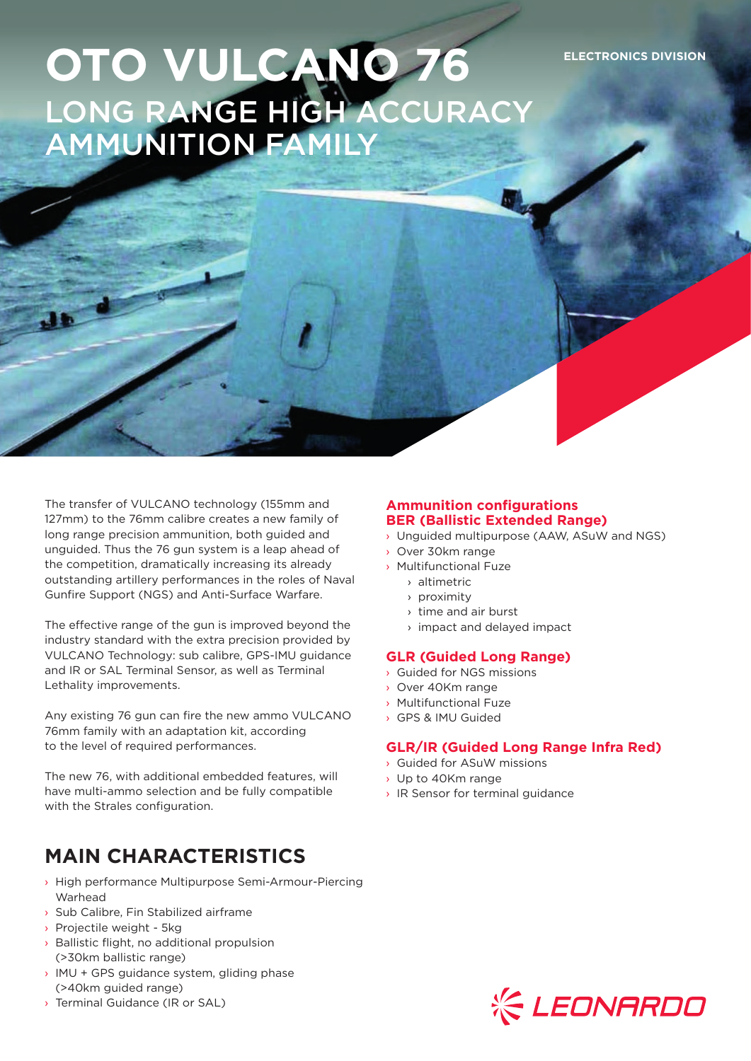# **OTO VULCANO 76 ELECTRONICS DIVISION** LONG RANGE HIGH ACCURACY AMMUNITION FAMILY

The transfer of VULCANO technology (155mm and 127mm) to the 76mm calibre creates a new family of long range precision ammunition, both guided and unguided. Thus the 76 gun system is a leap ahead of the competition, dramatically increasing its already outstanding artillery performances in the roles of Naval Gunfire Support (NGS) and Anti-Surface Warfare.

The effective range of the gun is improved beyond the industry standard with the extra precision provided by VULCANO Technology: sub calibre, GPS-IMU guidance and IR or SAL Terminal Sensor, as well as Terminal Lethality improvements.

Any existing 76 gun can fire the new ammo VULCANO 76mm family with an adaptation kit, according to the level of required performances.

The new 76, with additional embedded features, will have multi-ammo selection and be fully compatible with the Strales configuration.

## **MAIN CHARACTERISTICS**

- › High performance Multipurpose Semi-Armour-Piercing Warhead
- › Sub Calibre, Fin Stabilized airframe
- › Projectile weight 5kg

 $\overline{AB}$ 

- › Ballistic flight, no additional propulsion (>30km ballistic range)
- › IMU + GPS guidance system, gliding phase (>40km guided range)
- › Terminal Guidance (IR or SAL)

#### **Ammunition configurations BER (Ballistic Extended Range)**

- › Unguided multipurpose (AAW, ASuW and NGS)
- › Over 30km range
- › Multifunctional Fuze
	- › altimetric
	- › proximity
	- › time and air burst
	- › impact and delayed impact

#### **GLR (Guided Long Range)**

- › Guided for NGS missions
- › Over 40Km range
- › Multifunctional Fuze
- › GPS & IMU Guided

#### **GLR/IR (Guided Long Range Infra Red)**

- › Guided for ASuW missions
- › Up to 40Km range
- › IR Sensor for terminal guidance